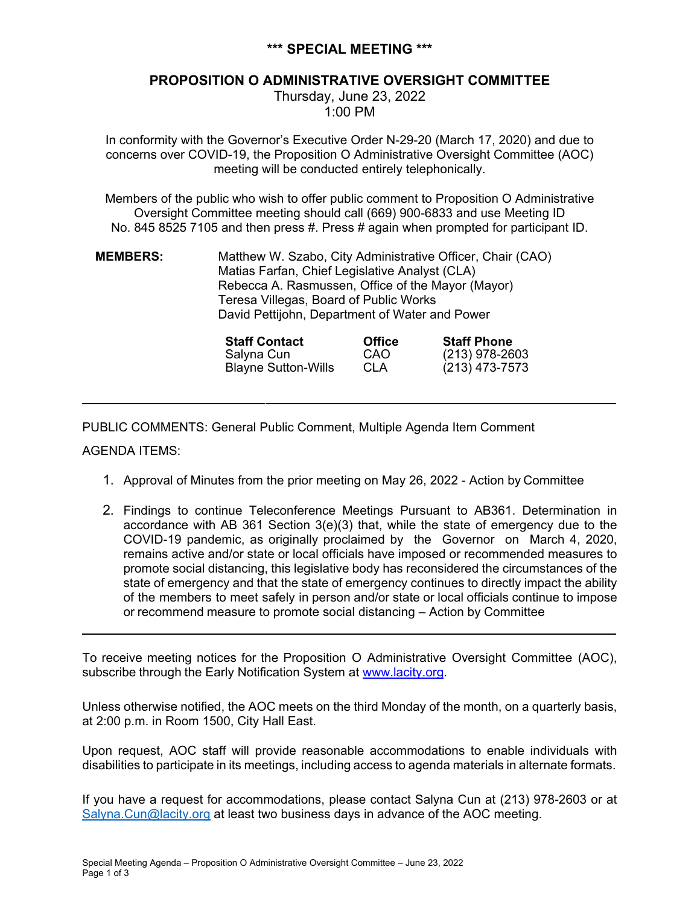## **\*\*\* SPECIAL MEETING \*\*\***

# **PROPOSITION O ADMINISTRATIVE OVERSIGHT COMMITTEE**

Thursday, June 23, 2022 1:00 PM

In conformity with the Governor's Executive Order N-29-20 (March 17, 2020) and due to concerns over COVID-19, the Proposition O Administrative Oversight Committee (AOC) meeting will be conducted entirely telephonically.

Members of the public who wish to offer public comment to Proposition O Administrative Oversight Committee meeting should call (669) 900-6833 and use Meeting ID No. 845 8525 7105 and then press #. Press # again when prompted for participant ID.

| <b>MEMBERS:</b> | Matthew W. Szabo, City Administrative Officer, Chair (CAO) |
|-----------------|------------------------------------------------------------|
|                 | Matias Farfan, Chief Legislative Analyst (CLA)             |
|                 | Rebecca A. Rasmussen, Office of the Mayor (Mayor)          |
|                 | Teresa Villegas, Board of Public Works                     |
|                 | David Pettijohn, Department of Water and Power             |

| <b>Staff Contact</b>       | <b>Office</b> | <b>Staff Phone</b> |
|----------------------------|---------------|--------------------|
| Salyna Cun                 | CAO           | $(213)$ 978-2603   |
| <b>Blayne Sutton-Wills</b> | CLA           | $(213)$ 473-7573   |

PUBLIC COMMENTS: General Public Comment, Multiple Agenda Item Comment

### AGENDA ITEMS:

- 1. Approval of Minutes from the prior meeting on May 26, 2022 Action by Committee
- 2. Findings to continue Teleconference Meetings Pursuant to AB361. Determination in accordance with AB 361 Section  $3(e)(3)$  that, while the state of emergency due to the COVID-19 pandemic, as originally proclaimed by the Governor on March 4, 2020, remains active and/or state or local officials have imposed or recommended measures to promote social distancing, this legislative body has reconsidered the circumstances of the state of emergency and that the state of emergency continues to directly impact the ability of the members to meet safely in person and/or state or local officials continue to impose or recommend measure to promote social distancing – Action by Committee

To receive meeting notices for the Proposition O Administrative Oversight Committee (AOC), subscribe through the Early Notification System at www.lacity.org.

Unless otherwise notified, the AOC meets on the third Monday of the month, on a quarterly basis, at 2:00 p.m. in Room 1500, City Hall East.

Upon request, AOC staff will provide reasonable accommodations to enable individuals with disabilities to participate in its meetings, including access to agenda materials in alternate formats.

If you have a request for accommodations, please contact Salyna Cun at (213) 978-2603 or at Salyna.Cun@lacity.org at least two business days in advance of the AOC meeting.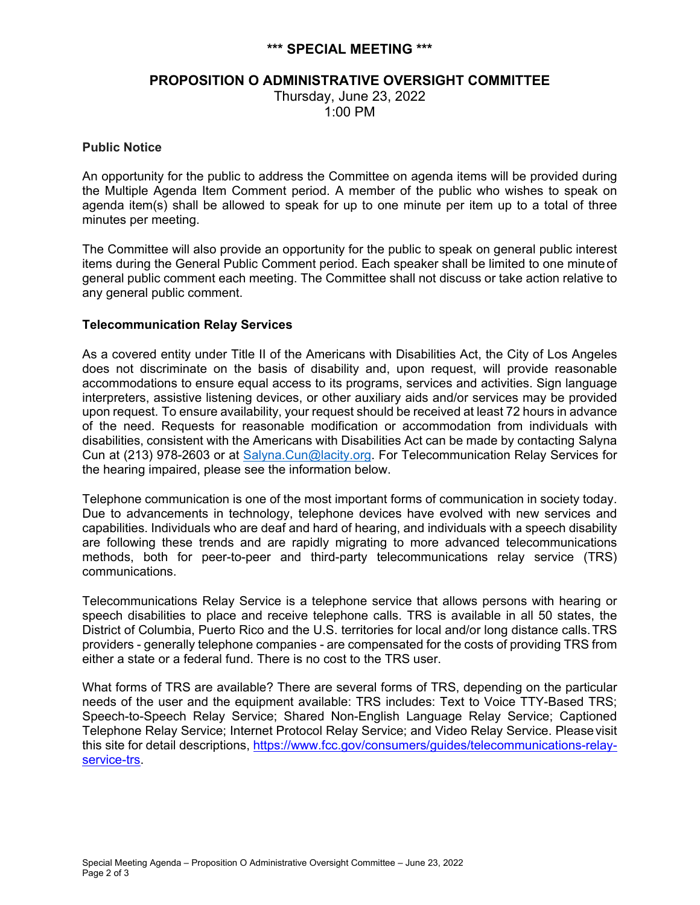### **\*\*\* SPECIAL MEETING \*\*\***

### **PROPOSITION O ADMINISTRATIVE OVERSIGHT COMMITTEE**

Thursday, June 23, 2022 1:00 PM

#### **Public Notice**

An opportunity for the public to address the Committee on agenda items will be provided during the Multiple Agenda Item Comment period. A member of the public who wishes to speak on agenda item(s) shall be allowed to speak for up to one minute per item up to a total of three minutes per meeting.

The Committee will also provide an opportunity for the public to speak on general public interest items during the General Public Comment period. Each speaker shall be limited to one minute of general public comment each meeting. The Committee shall not discuss or take action relative to any general public comment.

#### **Telecommunication Relay Services**

As a covered entity under Title II of the Americans with Disabilities Act, the City of Los Angeles does not discriminate on the basis of disability and, upon request, will provide reasonable accommodations to ensure equal access to its programs, services and activities. Sign language interpreters, assistive listening devices, or other auxiliary aids and/or services may be provided upon request. To ensure availability, your request should be received at least 72 hours in advance of the need. Requests for reasonable modification or accommodation from individuals with disabilities, consistent with the Americans with Disabilities Act can be made by contacting Salyna Cun at (213) 978-2603 or at Salyna.Cun@lacity.org. For Telecommunication Relay Services for the hearing impaired, please see the information below.

Telephone communication is one of the most important forms of communication in society today. Due to advancements in technology, telephone devices have evolved with new services and capabilities. Individuals who are deaf and hard of hearing, and individuals with a speech disability are following these trends and are rapidly migrating to more advanced telecommunications methods, both for peer-to-peer and third-party telecommunications relay service (TRS) communications.

Telecommunications Relay Service is a telephone service that allows persons with hearing or speech disabilities to place and receive telephone calls. TRS is available in all 50 states, the District of Columbia, Puerto Rico and the U.S. territories for local and/or long distance calls. TRS providers - generally telephone companies - are compensated for the costs of providing TRS from either a state or a federal fund. There is no cost to the TRS user.

What forms of TRS are available? There are several forms of TRS, depending on the particular needs of the user and the equipment available: TRS includes: Text to Voice TTY-Based TRS; Speech-to-Speech Relay Service; Shared Non-English Language Relay Service; Captioned Telephone Relay Service; Internet Protocol Relay Service; and Video Relay Service. Please visit this site for detail descriptions, https://www.fcc.gov/consumers/guides/telecommunications-relayservice-trs.